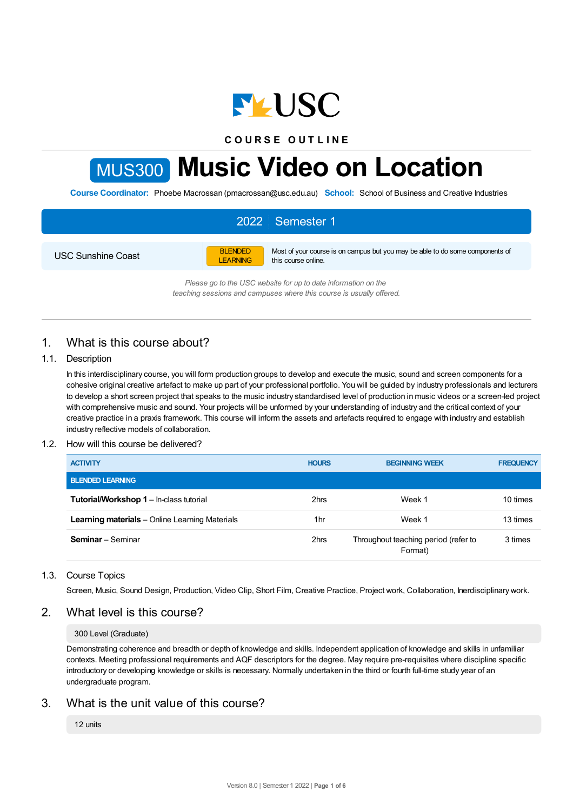

**C O U R S E O U T L I N E**

# MUS300 **Music Video on Location**

**Course Coordinator:** Phoebe Macrossan (pmacrossan@usc.edu.au) **School:** School of Business and Creative Industries

# 2022 Semester 1

USC Sunshine Coast

BLENDED LEARNING Most of your course is on campus but you may be able to do some components of this course online.

*Please go to the USC website for up to date information on the teaching sessions and campuses where this course is usually offered.*

# 1. What is this course about?

#### 1.1. Description

In this interdisciplinary course, you will form production groups to develop and execute the music, sound and screen components for a cohesive original creative artefact to make up part of your professional portfolio. You will be guided by industry professionals and lecturers to develop a short screen project that speaks to the music industry standardised level of production in music videos or a screen-led project with comprehensive music and sound. Your projects will be unformed by your understanding of industry and the critical context of your creative practice in a praxis framework. This course will inform the assets and artefacts required to engage with industry and establish industry reflective models of collaboration.

#### 1.2. How will this course be delivered?

| <b>ACTIVITY</b>                                       | <b>HOURS</b>    | <b>BEGINNING WEEK</b>                           | <b>FREQUENCY</b> |
|-------------------------------------------------------|-----------------|-------------------------------------------------|------------------|
| <b>BLENDED LEARNING</b>                               |                 |                                                 |                  |
| <b>Tutorial/Workshop 1 – In-class tutorial</b>        | 2hrs            | Week 1                                          | 10 times         |
| <b>Learning materials</b> – Online Learning Materials | 1 <sub>hr</sub> | Week 1                                          | 13 times         |
| <b>Seminar</b> – Seminar                              | 2hrs            | Throughout teaching period (refer to<br>Format) | 3 times          |

## 1.3. Course Topics

Screen, Music, Sound Design, Production, Video Clip, Short Film, Creative Practice, Project work, Collaboration, Inerdisciplinary work.

## 2. What level is this course?

#### 300 Level (Graduate)

Demonstrating coherence and breadth or depth of knowledge and skills. Independent application of knowledge and skills in unfamiliar contexts. Meeting professional requirements and AQF descriptors for the degree. May require pre-requisites where discipline specific introductory or developing knowledge or skills is necessary. Normally undertaken in the third or fourth full-time study year of an undergraduate program.

## 3. What is the unit value of this course?

12 units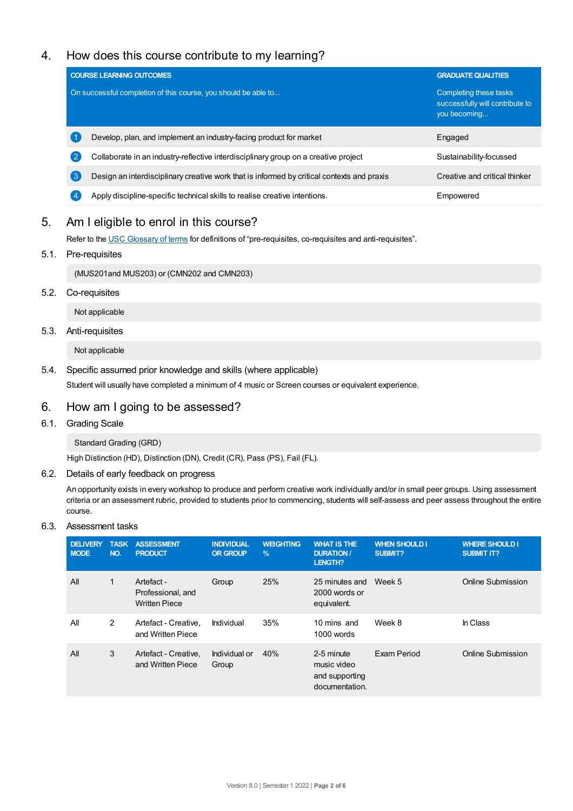# 4. How does this course contribute to my learning?

|                  | <b>COURSE LEARNING OUTCOMES</b>                                                            | <b>GRADUATE QUALITIES</b>                                                 |  |
|------------------|--------------------------------------------------------------------------------------------|---------------------------------------------------------------------------|--|
|                  | On successful completion of this course, you should be able to                             | Completing these tasks<br>successfully will contribute to<br>you becoming |  |
|                  | Develop, plan, and implement an industry-facing product for market                         | Engaged                                                                   |  |
| $\overline{2}$   | Collaborate in an industry-reflective interdisciplinary group on a creative project        | Sustainability-focussed                                                   |  |
| $\left(3\right)$ | Design an interdisciplinary creative work that is informed by critical contexts and praxis | Creative and critical thinker                                             |  |
| $\overline{4}$   | Apply discipline-specific technical skills to realise creative intentions.                 | Empowered                                                                 |  |

# 5. Am Ieligible to enrol in this course?

Refer to the USC [Glossary](https://www.usc.edu.au/about/policies-and-procedures/glossary-of-terms-for-policy-and-procedures) of terms for definitions of "pre-requisites, co-requisites and anti-requisites".

## 5.1. Pre-requisites

(MUS201and MUS203) or (CMN202 and CMN203)

5.2. Co-requisites

Not applicable

## 5.3. Anti-requisites

Not applicable

5.4. Specific assumed prior knowledge and skills (where applicable)

Student will usually have completed a minimum of 4 music or Screen courses or equivalent experience.

## 6. How am Igoing to be assessed?

6.1. Grading Scale

Standard Grading (GRD)

High Distinction (HD), Distinction (DN), Credit (CR), Pass (PS), Fail (FL).

## 6.2. Details of early feedback on progress

An opportunity exists in every workshop to produce and perform creative work individually and/or in small peer groups. Using assessment criteria or an assessment rubric, provided to students prior to commencing, students will self-assess and peer assess throughout the entire course.

## 6.3. Assessment tasks

| <b>DELIVERY</b><br><b>MODE</b> | <b>TASK</b><br>NO. | <b>ASSESSMENT</b><br><b>PRODUCT</b>                     | <b>INDIVIDUAL</b><br><b>OR GROUP</b> | <b>WEIGHTING</b><br>$\%$ | <b>WHAT IS THE</b><br><b>DURATION /</b><br><b>LENGTH?</b>     | <b>WHEN SHOULD I</b><br><b>SUBMIT?</b> | <b>WHERE SHOULD I</b><br><b>SUBMIT IT?</b> |
|--------------------------------|--------------------|---------------------------------------------------------|--------------------------------------|--------------------------|---------------------------------------------------------------|----------------------------------------|--------------------------------------------|
| All                            | 1                  | Artefact -<br>Professional, and<br><b>Written Piece</b> | Group                                | 25%                      | 25 minutes and<br>2000 words or<br>equivalent.                | Week 5                                 | Online Submission                          |
| All                            | $\overline{2}$     | Artefact - Creative,<br>and Written Piece               | Individual                           | 35%                      | 10 mins and<br>1000 words                                     | Week 8                                 | In Class                                   |
| All                            | 3                  | Artefact - Creative.<br>and Written Piece               | Individual or<br>Group               | 40%                      | 2-5 minute<br>music video<br>and supporting<br>documentation. | Exam Period                            | <b>Online Submission</b>                   |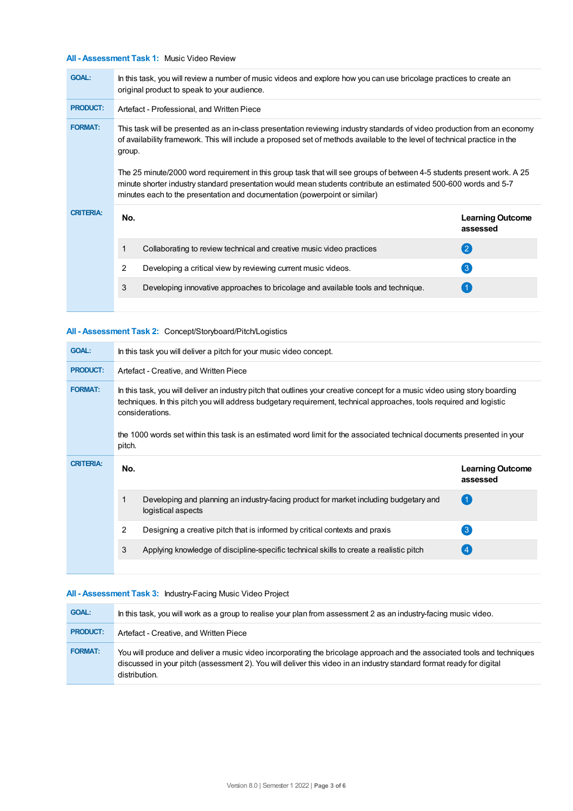## **All - Assessment Task 1:** Music Video Review

| <b>GOAL:</b>     | In this task, you will review a number of music videos and explore how you can use bricolage practices to create an<br>original product to speak to your audience.                                                                                               |                                                                      |                                     |  |
|------------------|------------------------------------------------------------------------------------------------------------------------------------------------------------------------------------------------------------------------------------------------------------------|----------------------------------------------------------------------|-------------------------------------|--|
| <b>PRODUCT:</b>  | Artefact - Professional, and Written Piece                                                                                                                                                                                                                       |                                                                      |                                     |  |
| <b>FORMAT:</b>   | This task will be presented as an in-class presentation reviewing industry standards of video production from an economy<br>of availability framework. This will include a proposed set of methods available to the level of technical practice in the<br>group. |                                                                      |                                     |  |
|                  | The 25 minute/2000 word requirement in this group task that will see groups of between 4-5 students present work. A 25<br>minute shorter industry standard presentation would mean students contribute an estimated 500-600 words and 5-7                        |                                                                      |                                     |  |
| <b>CRITERIA:</b> | No.                                                                                                                                                                                                                                                              |                                                                      |                                     |  |
|                  |                                                                                                                                                                                                                                                                  |                                                                      | <b>Learning Outcome</b><br>assessed |  |
|                  |                                                                                                                                                                                                                                                                  | Collaborating to review technical and creative music video practices | (2)                                 |  |
|                  | $\mathcal{P}$                                                                                                                                                                                                                                                    | Developing a critical view by reviewing current music videos.        | $\left(3\right)$                    |  |

## **All - Assessment Task 2:** Concept/Storyboard/Pitch/Logistics

| <b>GOAL:</b>     | In this task you will deliver a pitch for your music video concept.                                                                                                                                                                                                                                                                                                                                        |                                                                                                             |                                     |  |
|------------------|------------------------------------------------------------------------------------------------------------------------------------------------------------------------------------------------------------------------------------------------------------------------------------------------------------------------------------------------------------------------------------------------------------|-------------------------------------------------------------------------------------------------------------|-------------------------------------|--|
| <b>PRODUCT:</b>  | Artefact - Creative, and Written Piece                                                                                                                                                                                                                                                                                                                                                                     |                                                                                                             |                                     |  |
| <b>FORMAT:</b>   | In this task, you will deliver an industry pitch that outlines your creative concept for a music video using story boarding<br>techniques. In this pitch you will address budgetary requirement, technical approaches, tools required and logistic<br>considerations.<br>the 1000 words set within this task is an estimated word limit for the associated technical documents presented in your<br>pitch. |                                                                                                             |                                     |  |
| <b>CRITERIA:</b> |                                                                                                                                                                                                                                                                                                                                                                                                            |                                                                                                             |                                     |  |
|                  | No.                                                                                                                                                                                                                                                                                                                                                                                                        |                                                                                                             | <b>Learning Outcome</b><br>assessed |  |
|                  |                                                                                                                                                                                                                                                                                                                                                                                                            | Developing and planning an industry-facing product for market including budgetary and<br>logistical aspects | $\left( 1 \right)$                  |  |
|                  | 2                                                                                                                                                                                                                                                                                                                                                                                                          | Designing a creative pitch that is informed by critical contexts and praxis                                 | $\left\lceil 3 \right\rceil$        |  |
|                  | 3                                                                                                                                                                                                                                                                                                                                                                                                          | Applying knowledge of discipline-specific technical skills to create a realistic pitch                      | 4                                   |  |

## **All - Assessment Task 3:** Industry-Facing Music Video Project

| <b>GOAL:</b>    | In this task, you will work as a group to realise your plan from assessment 2 as an industry-facing music video.                                                                                                                                                 |
|-----------------|------------------------------------------------------------------------------------------------------------------------------------------------------------------------------------------------------------------------------------------------------------------|
| <b>PRODUCT:</b> | Artefact - Creative, and Written Piece                                                                                                                                                                                                                           |
| <b>FORMAT:</b>  | You will produce and deliver a music video incorporating the bricolage approach and the associated tools and techniques<br>discussed in your pitch (assessment 2). You will deliver this video in an industry standard format ready for digital<br>distribution. |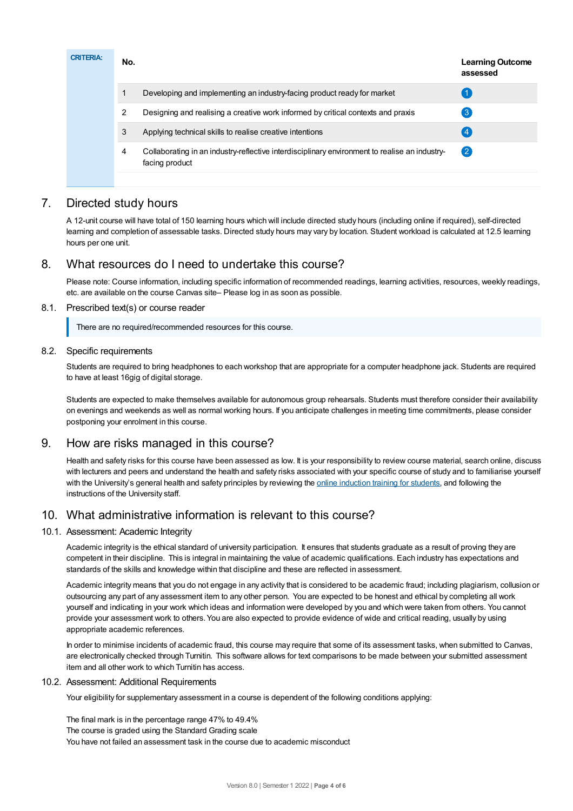| <b>CRITERIA:</b> | No. | <b>Learning Outcome</b><br>assessed                                                                             |                    |
|------------------|-----|-----------------------------------------------------------------------------------------------------------------|--------------------|
|                  | 1   | Developing and implementing an industry-facing product ready for market                                         |                    |
|                  | 2   | Designing and realising a creative work informed by critical contexts and praxis                                | 3                  |
|                  | 3   | Applying technical skills to realise creative intentions                                                        |                    |
|                  | 4   | Collaborating in an industry-reflective interdisciplinary environment to realise an industry-<br>facing product | $\left( 2 \right)$ |
|                  |     |                                                                                                                 |                    |

# 7. Directed study hours

A 12-unit course will have total of 150 learning hours which will include directed study hours (including online if required), self-directed learning and completion of assessable tasks. Directed study hours may vary by location. Student workload is calculated at 12.5 learning hours per one unit.

# 8. What resources do I need to undertake this course?

Please note: Course information, including specific information of recommended readings, learning activities, resources, weekly readings, etc. are available on the course Canvas site– Please log in as soon as possible.

## 8.1. Prescribed text(s) or course reader

There are no required/recommended resources for this course.

## 8.2. Specific requirements

Students are required to bring headphones to each workshop that are appropriate for a computer headphone jack. Students are required to have at least 16gig of digital storage.

Students are expected to make themselves available for autonomous group rehearsals. Students must therefore consider their availability on evenings and weekends as well as normal working hours. If you anticipate challenges in meeting time commitments, please consider postponing your enrolment in this course.

# 9. How are risks managed in this course?

Health and safety risks for this course have been assessed as low. It is your responsibility to review course material, search online, discuss with lecturers and peers and understand the health and safety risks associated with your specific course of study and to familiarise yourself with the University's general health and safety principles by reviewing the online [induction](https://online.usc.edu.au/webapps/blackboard/content/listContentEditable.jsp?content_id=_632657_1&course_id=_14432_1) training for students, and following the instructions of the University staff.

# 10. What administrative information is relevant to this course?

## 10.1. Assessment: Academic Integrity

Academic integrity is the ethical standard of university participation. It ensures that students graduate as a result of proving they are competent in their discipline. This is integral in maintaining the value of academic qualifications. Each industry has expectations and standards of the skills and knowledge within that discipline and these are reflected in assessment.

Academic integrity means that you do not engage in any activity that is considered to be academic fraud; including plagiarism, collusion or outsourcing any part of any assessment item to any other person. You are expected to be honest and ethical by completing all work yourself and indicating in your work which ideas and information were developed by you and which were taken from others. You cannot provide your assessment work to others.You are also expected to provide evidence of wide and critical reading, usually by using appropriate academic references.

In order to minimise incidents of academic fraud, this course may require that some of its assessment tasks, when submitted to Canvas, are electronically checked through Turnitin. This software allows for text comparisons to be made between your submitted assessment item and all other work to which Turnitin has access.

## 10.2. Assessment: Additional Requirements

Your eligibility for supplementary assessment in a course is dependent of the following conditions applying:

The final mark is in the percentage range 47% to 49.4% The course is graded using the Standard Grading scale You have not failed an assessment task in the course due to academic misconduct